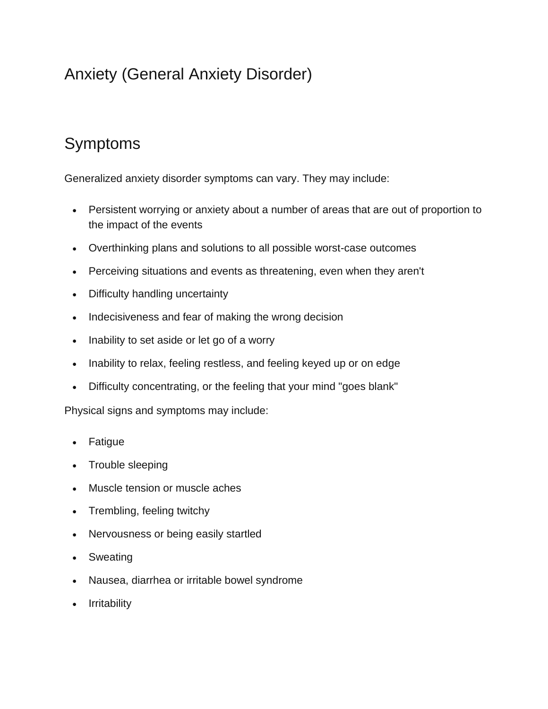# Anxiety (General Anxiety Disorder)

# Symptoms

Generalized anxiety disorder symptoms can vary. They may include:

- Persistent worrying or anxiety about a number of areas that are out of proportion to the impact of the events
- Overthinking plans and solutions to all possible worst-case outcomes
- Perceiving situations and events as threatening, even when they aren't
- Difficulty handling uncertainty
- Indecisiveness and fear of making the wrong decision
- Inability to set aside or let go of a worry
- Inability to relax, feeling restless, and feeling keyed up or on edge
- Difficulty concentrating, or the feeling that your mind "goes blank"

Physical signs and symptoms may include:

- **Fatigue**
- Trouble sleeping
- Muscle tension or muscle aches
- Trembling, feeling twitchy
- Nervousness or being easily startled
- Sweating
- Nausea, diarrhea or irritable bowel syndrome
- Irritability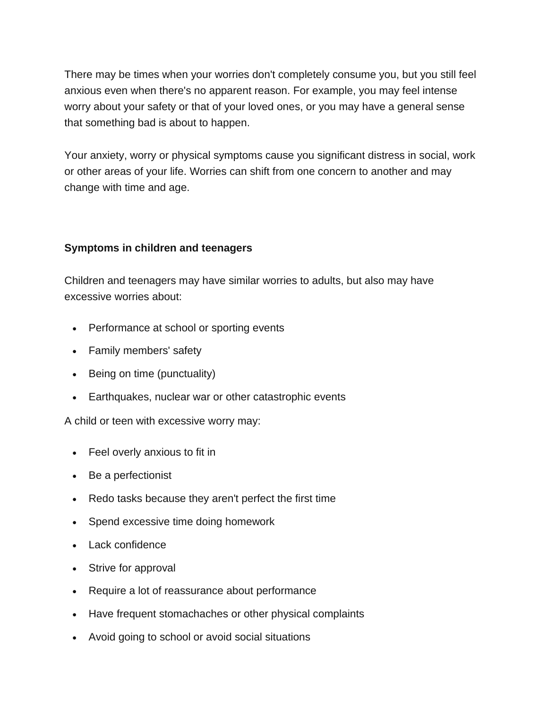There may be times when your worries don't completely consume you, but you still feel anxious even when there's no apparent reason. For example, you may feel intense worry about your safety or that of your loved ones, or you may have a general sense that something bad is about to happen.

Your anxiety, worry or physical symptoms cause you significant distress in social, work or other areas of your life. Worries can shift from one concern to another and may change with time and age.

#### **Symptoms in children and teenagers**

Children and teenagers may have similar worries to adults, but also may have excessive worries about:

- Performance at school or sporting events
- Family members' safety
- Being on time (punctuality)
- Earthquakes, nuclear war or other catastrophic events

A child or teen with excessive worry may:

- Feel overly anxious to fit in
- Be a perfectionist
- Redo tasks because they aren't perfect the first time
- Spend excessive time doing homework
- Lack confidence
- Strive for approval
- Require a lot of reassurance about performance
- Have frequent stomachaches or other physical complaints
- Avoid going to school or avoid social situations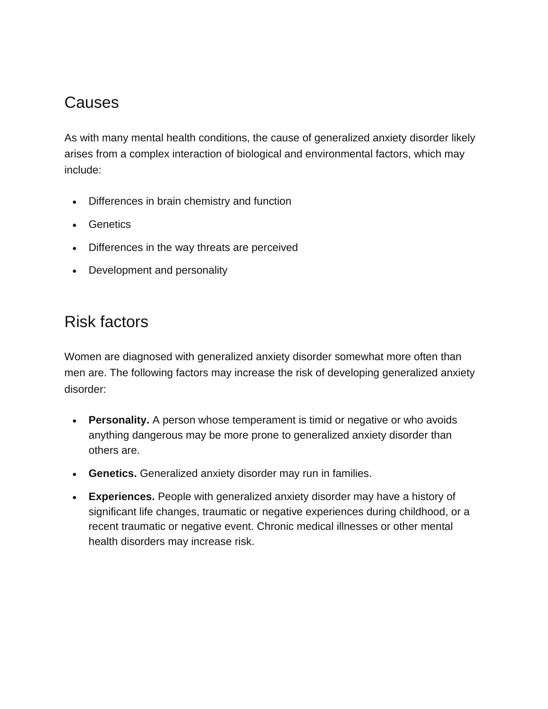## Causes

As with many mental health conditions, the cause of generalized anxiety disorder likely arises from a complex interaction of biological and environmental factors, which may include:

- Differences in brain chemistry and function
- Genetics
- Differences in the way threats are perceived
- Development and personality

#### Risk factors

Women are diagnosed with generalized anxiety disorder somewhat more often than men are. The following factors may increase the risk of developing generalized anxiety disorder:

- **Personality.** A person whose temperament is timid or negative or who avoids anything dangerous may be more prone to generalized anxiety disorder than others are.
- **Genetics.** Generalized anxiety disorder may run in families.
- **Experiences.** People with generalized anxiety disorder may have a history of significant life changes, traumatic or negative experiences during childhood, or a recent traumatic or negative event. Chronic medical illnesses or other mental health disorders may increase risk.